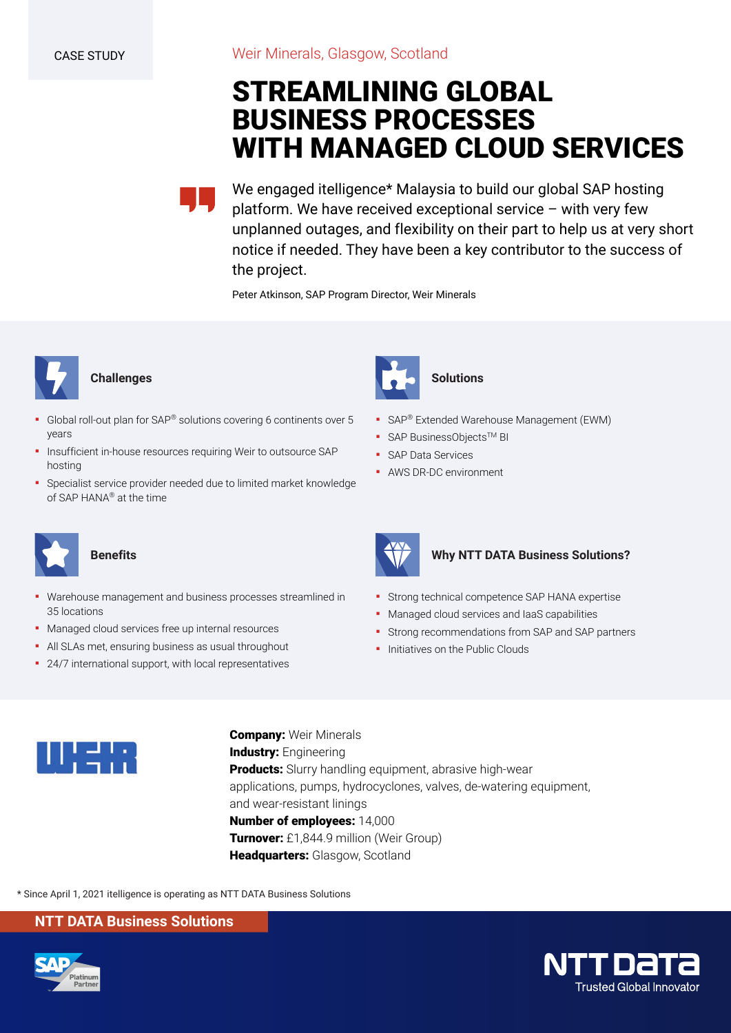# **STREAMLINING GLOBAL BUSINESS PROCESSES WITH MANAGED CLOUD SERVICES**

We engaged itelligence\* Malaysia to build our global SAP hosting platform. We have received exceptional service – with very few unplanned outages, and flexibility on their part to help us at very short notice if needed. They have been a key contributor to the success of the project.

Peter Atkinson, SAP Program Director, Weir Minerals



# **Challenges**

- Global roll-out plan for SAP<sup>®</sup> solutions covering 6 continents over 5 years
- Insufficient in-house resources requiring Weir to outsource SAP hosting
- **•** Specialist service provider needed due to limited market knowledge of SAP HANA® at the time



# **Benefits**

- Warehouse management and business processes streamlined in 35 locations
- Managed cloud services free up internal resources
- All SLAs met, ensuring business as usual throughout
- 24/7 international support, with local representatives



- **SAP® Extended Warehouse Management (EWM)**
- SAP BusinessObjects<sup>™</sup> BI
- SAP Data Services
- AWS DR-DC environment



## **Why NTT DATA Business Solutions?**

- **Strong technical competence SAP HANA expertise**
- Managed cloud services and IaaS capabilities
- Strong recommendations from SAP and SAP partners
- **·** Initiatives on the Public Clouds



**Company:** Weir Minerals **Industry: Engineering Products:** Slurry handling equipment, abrasive high-wear applications, pumps, hydrocyclones, valves, de-watering equipment, and wear-resistant linings **Number of employees:** 14,000 **Turnover:** £1,844.9 million (Weir Group) **Headquarters:** Glasgow, Scotland

\* Since April 1, 2021 itelligence is operating as NTT DATA Business Solutions

# **NTT DATA Business Solutions**